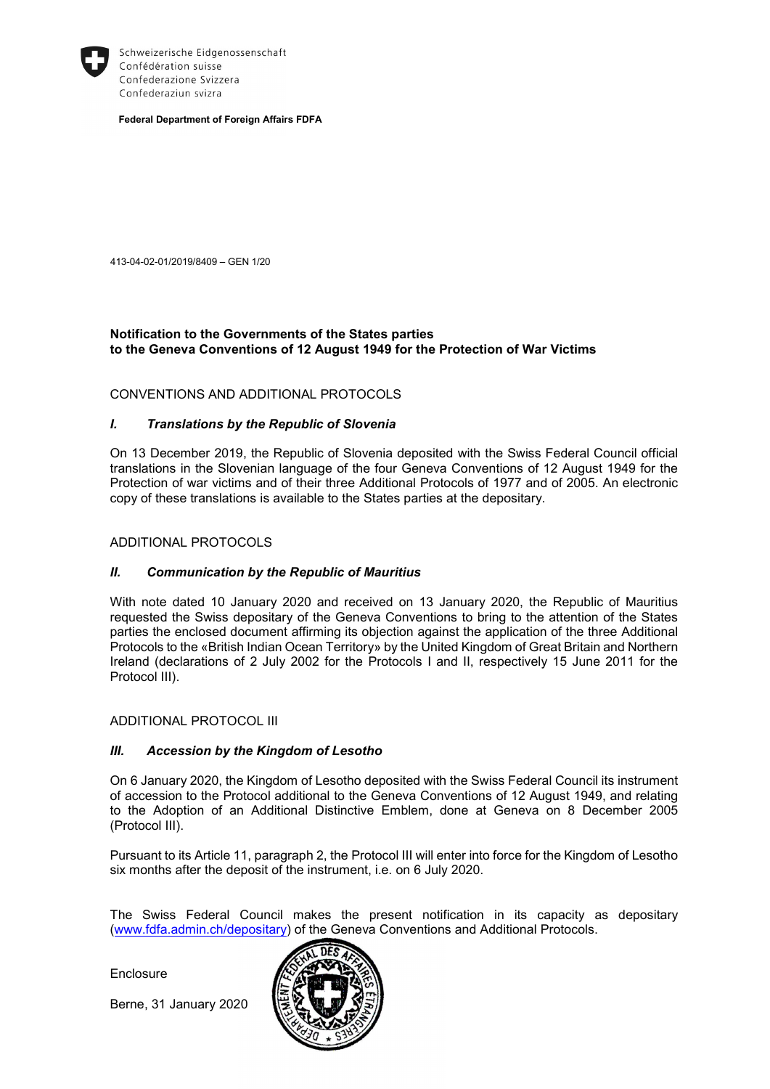

Schweizerische Eidgenossenschaft Confédération suisse Confederazione Svizzera Confederaziun svizra

Federal Department of Foreign Affairs FDFA

413-04-02-01/2019/8409 – GEN 1/20

# Notification to the Governments of the States parties to the Geneva Conventions of 12 August 1949 for the Protection of War Victims

## CONVENTIONS AND ADDITIONAL PROTOCOLS

## I. Translations by the Republic of Slovenia

On 13 December 2019, the Republic of Slovenia deposited with the Swiss Federal Council official translations in the Slovenian language of the four Geneva Conventions of 12 August 1949 for the Protection of war victims and of their three Additional Protocols of 1977 and of 2005. An electronic copy of these translations is available to the States parties at the depositary.

#### ADDITIONAL PROTOCOLS

#### II. Communication by the Republic of Mauritius

With note dated 10 January 2020 and received on 13 January 2020, the Republic of Mauritius requested the Swiss depositary of the Geneva Conventions to bring to the attention of the States parties the enclosed document affirming its objection against the application of the three Additional Protocols to the «British Indian Ocean Territory» by the United Kingdom of Great Britain and Northern Ireland (declarations of 2 July 2002 for the Protocols I and II, respectively 15 June 2011 for the Protocol III).

#### ADDITIONAL PROTOCOL III

#### III. Accession by the Kingdom of Lesotho

On 6 January 2020, the Kingdom of Lesotho deposited with the Swiss Federal Council its instrument of accession to the Protocol additional to the Geneva Conventions of 12 August 1949, and relating to the Adoption of an Additional Distinctive Emblem, done at Geneva on 8 December 2005 (Protocol III).

Pursuant to its Article 11, paragraph 2, the Protocol III will enter into force for the Kingdom of Lesotho six months after the deposit of the instrument, i.e. on 6 July 2020.

The Swiss Federal Council makes the present notification in its capacity as depositary (www.fdfa.admin.ch/depositary) of the Geneva Conventions and Additional Protocols.

Enclosure

Berne, 31 January 2020

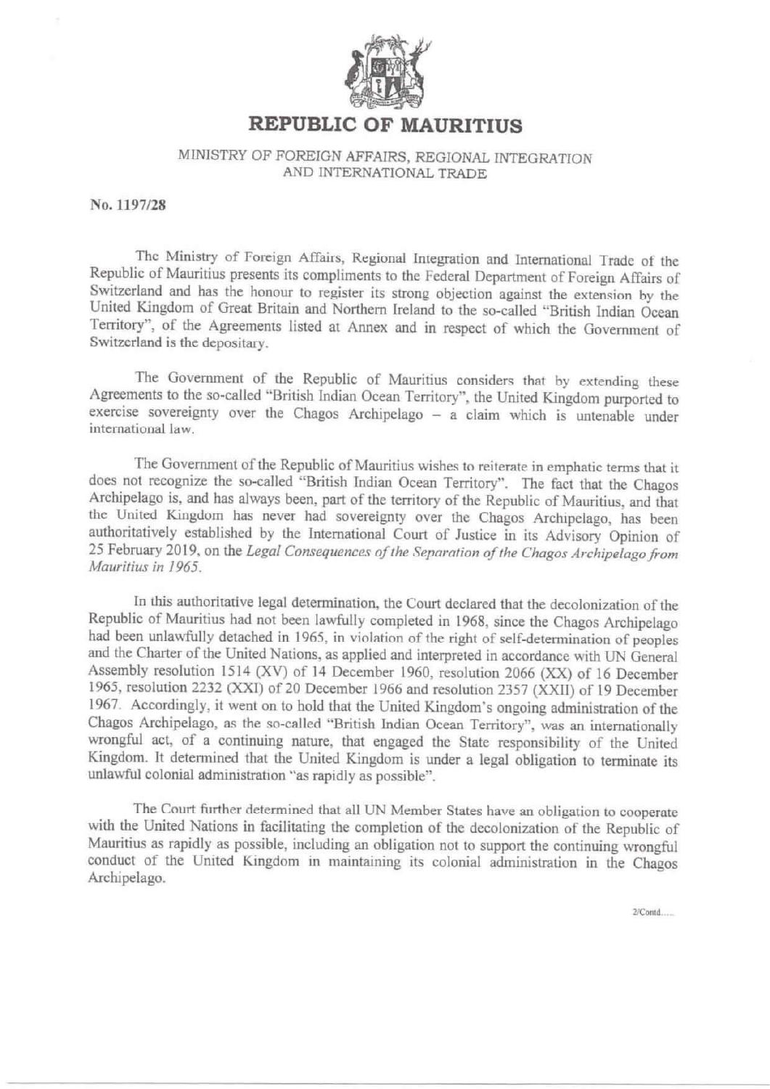

# **REPUBLIC OF MAURITIUS**

# MINISTRY OF FOREIGN AFFAIRS. REGIONAL INTEGRATION AND INTERNATIONAL TRADE

No. 1197/28

The Ministry of Foreign Affairs, Regional Integration and International Trade of the Republic of Mauritius presents its compliments to the Federal Department of Foreign Affairs of Switzerland and has the honour to register its strong objection against the extension by the United Kingdom of Great Britain and Northern Ireland to the so-called "British Indian Ocean Territory", of the Agreements listed at Annex and in respect of which the Government of Switzerland is the depositary.

The Government of the Republic of Mauritius considers that by extending these Agreements to the so-called "British Indian Ocean Territory", the United Kingdom purported to exercise sovereignty over the Chagos Archipelago - a claim which is untenable under international law.

The Government of the Republic of Mauritius wishes to reiterate in emphatic terms that it does not recognize the so-called "British Indian Ocean Territory". The fact that the Chagos Archipelago is, and has always been, part of the territory of the Republic of Mauritius, and that the United Kingdom has never had sovereignty over the Chagos Archipelago, has been authoritatively established by the International Court of Justice in its Advisory Opinion of 25 February 2019, on the Legal Consequences of the Separation of the Chagos Archipelago from Mauritius in 1965.

In this authoritative legal determination, the Court declared that the decolonization of the Republic of Mauritius had not been lawfully completed in 1968, since the Chagos Archipelago had been unlawfully detached in 1965, in violation of the right of self-determination of peoples and the Charter of the United Nations, as applied and interpreted in accordance with UN General Assembly resolution 1514 (XV) of 14 December 1960, resolution 2066 (XX) of 16 December 1965, resolution 2232 (XXI) of 20 December 1966 and resolution 2357 (XXII) of 19 December 1967. Accordingly, it went on to hold that the United Kingdom's ongoing administration of the Chagos Archipelago, as the so-called "British Indian Ocean Territory", was an internationally wrongful act, of a continuing nature, that engaged the State responsibility of the United Kingdom. It determined that the United Kingdom is under a legal obligation to terminate its unlawful colonial administration "as rapidly as possible".

The Court further determined that all UN Member States have an obligation to cooperate with the United Nations in facilitating the completion of the decolonization of the Republic of Mauritius as rapidly as possible, including an obligation not to support the continuing wrongful conduct of the United Kingdom in maintaining its colonial administration in the Chagos Archipelago.

 $2/C$ ontd